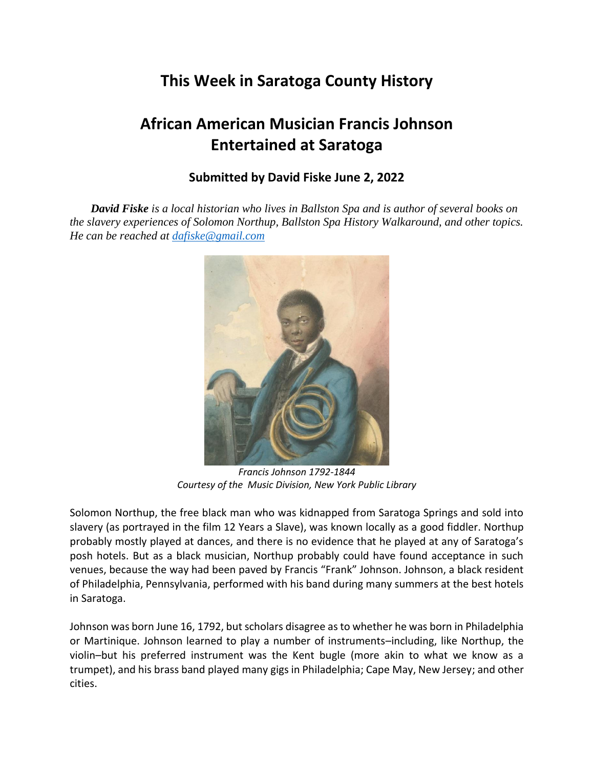## **This Week in Saratoga County History**

## **African American Musician Francis Johnson Entertained at Saratoga**

## **Submitted by David Fiske June 2, 2022**

*David Fiske is a local historian who lives in Ballston Spa and is author of several books on the slavery experiences of Solomon Northup, Ballston Spa History Walkaround, and other topics. He can be reached at [dafiske@gmail.com](mailto:dafiske@gmail.com)*



*Francis Johnson 1792-1844 Courtesy of the Music Division, New York Public Library*

Solomon Northup, the free black man who was kidnapped from Saratoga Springs and sold into slavery (as portrayed in the film 12 Years a Slave), was known locally as a good fiddler. Northup probably mostly played at dances, and there is no evidence that he played at any of Saratoga's posh hotels. But as a black musician, Northup probably could have found acceptance in such venues, because the way had been paved by Francis "Frank" Johnson. Johnson, a black resident of Philadelphia, Pennsylvania, performed with his band during many summers at the best hotels in Saratoga.

Johnson was born June 16, 1792, but scholars disagree as to whether he was born in Philadelphia or Martinique. Johnson learned to play a number of instruments–including, like Northup, the violin–but his preferred instrument was the Kent bugle (more akin to what we know as a trumpet), and his brass band played many gigs in Philadelphia; Cape May, New Jersey; and other cities.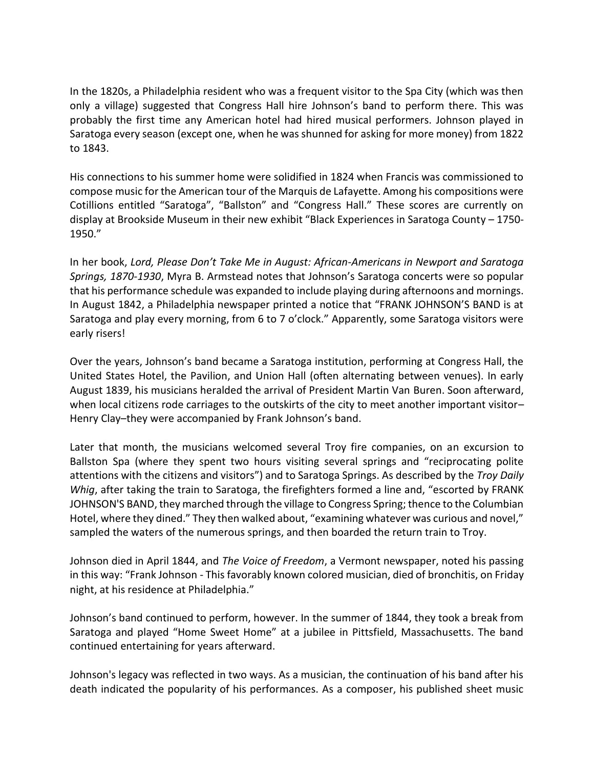In the 1820s, a Philadelphia resident who was a frequent visitor to the Spa City (which was then only a village) suggested that Congress Hall hire Johnson's band to perform there. This was probably the first time any American hotel had hired musical performers. Johnson played in Saratoga every season (except one, when he was shunned for asking for more money) from 1822 to 1843.

His connections to his summer home were solidified in 1824 when Francis was commissioned to compose music for the American tour of the Marquis de Lafayette. Among his compositions were Cotillions entitled "Saratoga", "Ballston" and "Congress Hall." These scores are currently on display at Brookside Museum in their new exhibit "Black Experiences in Saratoga County – 1750- 1950."

In her book, *Lord, Please Don't Take Me in August: African-Americans in Newport and Saratoga Springs, 1870-1930*, Myra B. Armstead notes that Johnson's Saratoga concerts were so popular that his performance schedule was expanded to include playing during afternoons and mornings. In August 1842, a Philadelphia newspaper printed a notice that "FRANK JOHNSON'S BAND is at Saratoga and play every morning, from 6 to 7 o'clock." Apparently, some Saratoga visitors were early risers!

Over the years, Johnson's band became a Saratoga institution, performing at Congress Hall, the United States Hotel, the Pavilion, and Union Hall (often alternating between venues). In early August 1839, his musicians heralded the arrival of President Martin Van Buren. Soon afterward, when local citizens rode carriages to the outskirts of the city to meet another important visitor– Henry Clay–they were accompanied by Frank Johnson's band.

Later that month, the musicians welcomed several Troy fire companies, on an excursion to Ballston Spa (where they spent two hours visiting several springs and "reciprocating polite attentions with the citizens and visitors") and to Saratoga Springs. As described by the *Troy Daily Whig*, after taking the train to Saratoga, the firefighters formed a line and, "escorted by FRANK JOHNSON'S BAND, they marched through the village to Congress Spring; thence to the Columbian Hotel, where they dined." They then walked about, "examining whatever was curious and novel," sampled the waters of the numerous springs, and then boarded the return train to Troy.

Johnson died in April 1844, and *The Voice of Freedom*, a Vermont newspaper, noted his passing in this way: "Frank Johnson - This favorably known colored musician, died of bronchitis, on Friday night, at his residence at Philadelphia."

Johnson's band continued to perform, however. In the summer of 1844, they took a break from Saratoga and played "Home Sweet Home" at a jubilee in Pittsfield, Massachusetts. The band continued entertaining for years afterward.

Johnson's legacy was reflected in two ways. As a musician, the continuation of his band after his death indicated the popularity of his performances. As a composer, his published sheet music